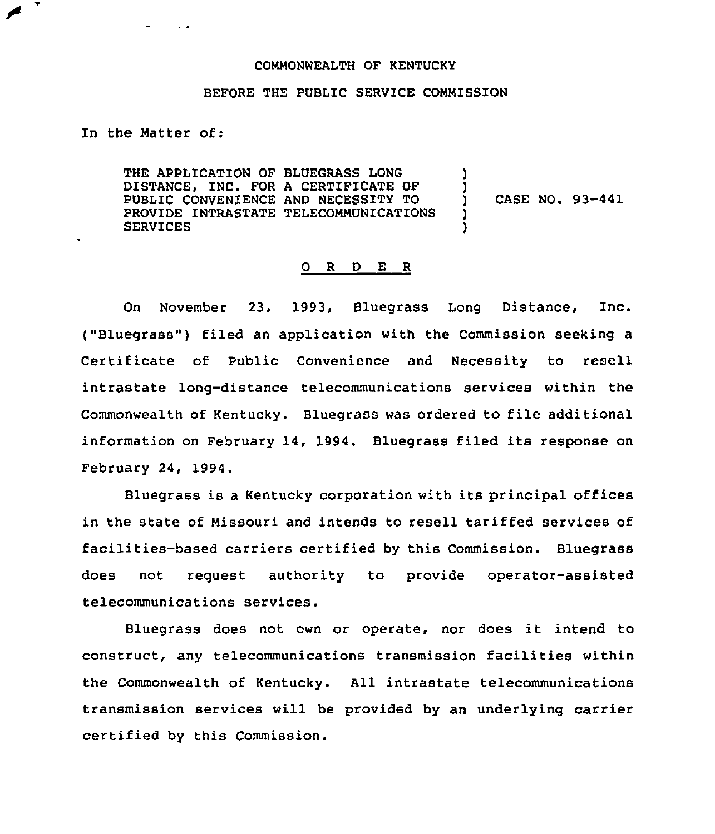## COMMONWEALTH OF KENTUCKY

## BEFORE THE PUBLIC SERVICE COMMISSION

In the Matter of:

 $\sim$   $\sim$ 

THE APPLICATION OF BLUEGRASS LONG DISTANCE, INC. FOR A CERTIFICATE OF PUBLIC CONVEN1ENCE AND NECESSITY TO PROVIDE INTRASTATE TELECOMMUNICATIONS SERVICES ) ) ) CASE NO. 93-441 ) )

## 0 <sup>R</sup> <sup>D</sup> E <sup>R</sup>

On November 23, 1993, Bluegrass Long Distance, Inc. ("Bluegrass") filed an application with the Commission seeking a Certificate of Public Convenience and Necessity to resell intrastate long-distance telecommunications services within the Commonwealth of Kentucky. Bluegrass was ordered to file additional information on February 14, 1994. Bluegrass filed its response on February 24, 1994.

Bluegrass is a Kentucky corporation with its principal offices in the state of Missouri and intends to resell tariffed services of facilities-based carriers certified by this Commission. Bluegrass does not request authority to provide operator-assisted telecommunications services.

Bluegrass does not own or operate, nor does it intend to construct, any telecommunications transmission facilities within the Commonwealth of Kentucky. All intrastate telecommunications transmission services will be provided by an underlying carrier certified by this Commission.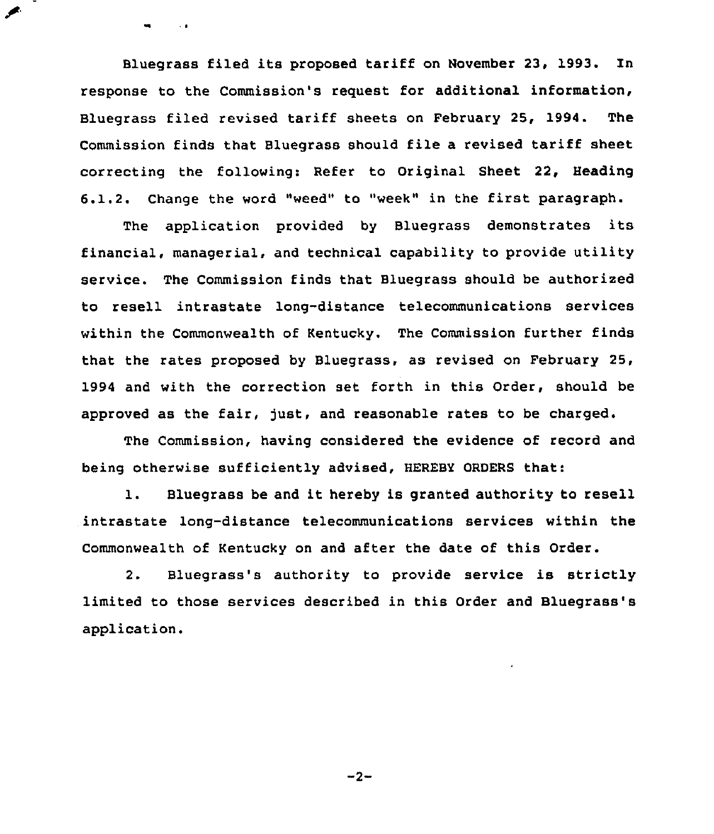Bluegrass filed its proposed tariff on November 23, 1993. In response to the Commission's request for additional information, Bluegrass filed revised tariff sheets on February 25, 1994. The Commission finds that Bluegrass should file a revised tariff sheet correcting the following: Refer to Original Sheet 22, Heading 6.1.2. Change the word "weed" to "week" in the first paragraph.

٠

 $\sim$   $\sigma$ 

The application provided by Bluegrass demonstrates its financial, managerial, and technical capability to provide utility service. The Commission finds that Bluegrass should be authorized to resell intrastate long-distance telecommunications services within the Commonwealth of Kentucky. The Commission further finds that the rates proposed by Bluegrass, as revised on February 25, 1994 and with the correction set forth in this Order, should be approved as the fair, just, and reasonable rates to be charged.

The Commission, having considered the evidence of record and being otherwise sufficiently advised, HEREBY ORDERS that:

1. Bluegrass be and it hereby is granted authority to resell intrastate long-distance telecommunications services within the Commonwealth of Kentucky on and after the date of this Order.

2. Bluegrass's authority to provide service is strictly limited to those services described in this Order and Bluegrass's application.

 $-2-$